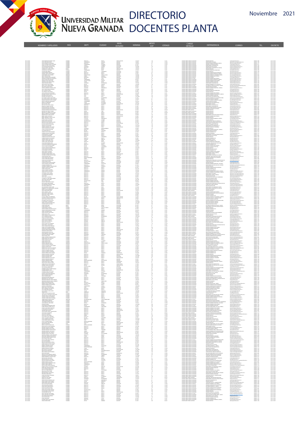

4

NOMBRES Y APELLIDOS PAÍS DEPT. CIUDAD NIVEL

## DIRECTORIO UNIVERSIDAD MILITAR UIRECTURIU<br>NUEVA GRANADA DOCENTES PLANTA

teses código cargo<br>Exp código componentes cargo

NIVEL MESES<br>ESTUDIO NÓMINA EXP

|                                                                                                                |                                                                                                                                                                                                                               |                                                         |                                                         | $\frac{12}{18} \times \frac{12}{18} \times \frac{12}{18}$ |                                                                                                                                                                                                                                                                                                                                                                                       |                                                                                                               |                                                                         |  |
|----------------------------------------------------------------------------------------------------------------|-------------------------------------------------------------------------------------------------------------------------------------------------------------------------------------------------------------------------------|---------------------------------------------------------|---------------------------------------------------------|-----------------------------------------------------------|---------------------------------------------------------------------------------------------------------------------------------------------------------------------------------------------------------------------------------------------------------------------------------------------------------------------------------------------------------------------------------------|---------------------------------------------------------------------------------------------------------------|-------------------------------------------------------------------------|--|
|                                                                                                                |                                                                                                                                                                                                                               |                                                         |                                                         |                                                           |                                                                                                                                                                                                                                                                                                                                                                                       |                                                                                                               |                                                                         |  |
|                                                                                                                |                                                                                                                                                                                                                               |                                                         |                                                         |                                                           |                                                                                                                                                                                                                                                                                                                                                                                       |                                                                                                               |                                                                         |  |
|                                                                                                                |                                                                                                                                                                                                                               |                                                         |                                                         |                                                           |                                                                                                                                                                                                                                                                                                                                                                                       |                                                                                                               |                                                                         |  |
|                                                                                                                |                                                                                                                                                                                                                               |                                                         |                                                         |                                                           |                                                                                                                                                                                                                                                                                                                                                                                       |                                                                                                               |                                                                         |  |
|                                                                                                                |                                                                                                                                                                                                                               |                                                         |                                                         |                                                           |                                                                                                                                                                                                                                                                                                                                                                                       |                                                                                                               |                                                                         |  |
|                                                                                                                |                                                                                                                                                                                                                               |                                                         |                                                         |                                                           |                                                                                                                                                                                                                                                                                                                                                                                       |                                                                                                               |                                                                         |  |
|                                                                                                                |                                                                                                                                                                                                                               |                                                         |                                                         |                                                           |                                                                                                                                                                                                                                                                                                                                                                                       |                                                                                                               |                                                                         |  |
|                                                                                                                |                                                                                                                                                                                                                               |                                                         |                                                         |                                                           |                                                                                                                                                                                                                                                                                                                                                                                       |                                                                                                               |                                                                         |  |
|                                                                                                                |                                                                                                                                                                                                                               |                                                         |                                                         |                                                           |                                                                                                                                                                                                                                                                                                                                                                                       |                                                                                                               |                                                                         |  |
| THE REAL PROPERTY OF STATES OF STATES OF STATES OF STATES OF STATES OF STATES OF STATES OF STATES OF STATES OF | w de for the state of the main main and the state of the state of the state of the state of the state of the state of the state of the state of the state of the state of the state of the state of the state of the state of |                                                         |                                                         |                                                           |                                                                                                                                                                                                                                                                                                                                                                                       |                                                                                                               |                                                                         |  |
|                                                                                                                |                                                                                                                                                                                                                               |                                                         |                                                         |                                                           |                                                                                                                                                                                                                                                                                                                                                                                       |                                                                                                               |                                                                         |  |
|                                                                                                                |                                                                                                                                                                                                                               |                                                         |                                                         |                                                           |                                                                                                                                                                                                                                                                                                                                                                                       |                                                                                                               |                                                                         |  |
|                                                                                                                |                                                                                                                                                                                                                               |                                                         |                                                         |                                                           |                                                                                                                                                                                                                                                                                                                                                                                       |                                                                                                               |                                                                         |  |
|                                                                                                                |                                                                                                                                                                                                                               |                                                         |                                                         |                                                           |                                                                                                                                                                                                                                                                                                                                                                                       |                                                                                                               |                                                                         |  |
|                                                                                                                |                                                                                                                                                                                                                               |                                                         |                                                         |                                                           |                                                                                                                                                                                                                                                                                                                                                                                       |                                                                                                               |                                                                         |  |
|                                                                                                                |                                                                                                                                                                                                                               |                                                         |                                                         |                                                           |                                                                                                                                                                                                                                                                                                                                                                                       |                                                                                                               |                                                                         |  |
|                                                                                                                |                                                                                                                                                                                                                               |                                                         |                                                         |                                                           |                                                                                                                                                                                                                                                                                                                                                                                       |                                                                                                               |                                                                         |  |
|                                                                                                                |                                                                                                                                                                                                                               |                                                         |                                                         |                                                           |                                                                                                                                                                                                                                                                                                                                                                                       |                                                                                                               |                                                                         |  |
|                                                                                                                |                                                                                                                                                                                                                               |                                                         |                                                         |                                                           |                                                                                                                                                                                                                                                                                                                                                                                       |                                                                                                               |                                                                         |  |
|                                                                                                                |                                                                                                                                                                                                                               |                                                         |                                                         |                                                           |                                                                                                                                                                                                                                                                                                                                                                                       |                                                                                                               |                                                                         |  |
|                                                                                                                |                                                                                                                                                                                                                               |                                                         |                                                         |                                                           |                                                                                                                                                                                                                                                                                                                                                                                       |                                                                                                               |                                                                         |  |
|                                                                                                                |                                                                                                                                                                                                                               |                                                         |                                                         |                                                           |                                                                                                                                                                                                                                                                                                                                                                                       |                                                                                                               |                                                                         |  |
|                                                                                                                |                                                                                                                                                                                                                               |                                                         |                                                         |                                                           |                                                                                                                                                                                                                                                                                                                                                                                       |                                                                                                               |                                                                         |  |
|                                                                                                                |                                                                                                                                                                                                                               |                                                         |                                                         |                                                           |                                                                                                                                                                                                                                                                                                                                                                                       |                                                                                                               |                                                                         |  |
|                                                                                                                |                                                                                                                                                                                                                               |                                                         |                                                         |                                                           |                                                                                                                                                                                                                                                                                                                                                                                       |                                                                                                               |                                                                         |  |
|                                                                                                                |                                                                                                                                                                                                                               |                                                         |                                                         |                                                           |                                                                                                                                                                                                                                                                                                                                                                                       |                                                                                                               |                                                                         |  |
|                                                                                                                |                                                                                                                                                                                                                               |                                                         |                                                         |                                                           |                                                                                                                                                                                                                                                                                                                                                                                       |                                                                                                               |                                                                         |  |
|                                                                                                                |                                                                                                                                                                                                                               |                                                         |                                                         |                                                           |                                                                                                                                                                                                                                                                                                                                                                                       |                                                                                                               |                                                                         |  |
|                                                                                                                |                                                                                                                                                                                                                               |                                                         |                                                         |                                                           | $\begin{tabular}{ c c } \hline & {\bf 0} & {\bf 0} & {\bf 0} & {\bf 0} & {\bf 0} & {\bf 0} & {\bf 0} & {\bf 0} & {\bf 0} & {\bf 0} & {\bf 0} & {\bf 0} & {\bf 0} & {\bf 0} & {\bf 0} & {\bf 0} & {\bf 0} & {\bf 0} & {\bf 0} & {\bf 0} & {\bf 0} & {\bf 0} & {\bf 0} & {\bf 0} & {\bf 0} & {\bf 0} & {\bf 0} & {\bf 0} & {\bf 0} & {\bf 0} & {\bf 0} & {\bf 0} & {\bf 0} & {\bf 0} &$ |                                                                                                               |                                                                         |  |
|                                                                                                                |                                                                                                                                                                                                                               |                                                         |                                                         |                                                           |                                                                                                                                                                                                                                                                                                                                                                                       |                                                                                                               |                                                                         |  |
|                                                                                                                |                                                                                                                                                                                                                               |                                                         |                                                         |                                                           |                                                                                                                                                                                                                                                                                                                                                                                       |                                                                                                               |                                                                         |  |
|                                                                                                                |                                                                                                                                                                                                                               |                                                         |                                                         |                                                           |                                                                                                                                                                                                                                                                                                                                                                                       |                                                                                                               |                                                                         |  |
|                                                                                                                |                                                                                                                                                                                                                               |                                                         |                                                         |                                                           |                                                                                                                                                                                                                                                                                                                                                                                       |                                                                                                               |                                                                         |  |
|                                                                                                                |                                                                                                                                                                                                                               |                                                         |                                                         |                                                           |                                                                                                                                                                                                                                                                                                                                                                                       |                                                                                                               |                                                                         |  |
|                                                                                                                |                                                                                                                                                                                                                               |                                                         |                                                         |                                                           |                                                                                                                                                                                                                                                                                                                                                                                       |                                                                                                               |                                                                         |  |
|                                                                                                                |                                                                                                                                                                                                                               |                                                         |                                                         |                                                           |                                                                                                                                                                                                                                                                                                                                                                                       |                                                                                                               |                                                                         |  |
|                                                                                                                | RODOM B.C.<br>EXECUADER                                                                                                                                                                                                       |                                                         |                                                         |                                                           | .<br>Dente tempo computo asistanti<br>Dente tempo computo asistanti                                                                                                                                                                                                                                                                                                                   |                                                                                                               |                                                                         |  |
|                                                                                                                |                                                                                                                                                                                                                               |                                                         |                                                         |                                                           |                                                                                                                                                                                                                                                                                                                                                                                       |                                                                                                               |                                                                         |  |
|                                                                                                                |                                                                                                                                                                                                                               |                                                         | 4/42013<br>AN/2014<br>3/16/2016<br>1/3/2024<br>3/1/2024 |                                                           |                                                                                                                                                                                                                                                                                                                                                                                       |                                                                                                               | 458000-1317<br>458000-3308<br>458000-1364<br>458000-3353<br>458000-1313 |  |
|                                                                                                                |                                                                                                                                                                                                                               |                                                         |                                                         |                                                           |                                                                                                                                                                                                                                                                                                                                                                                       |                                                                                                               |                                                                         |  |
|                                                                                                                |                                                                                                                                                                                                                               |                                                         |                                                         |                                                           |                                                                                                                                                                                                                                                                                                                                                                                       |                                                                                                               |                                                                         |  |
|                                                                                                                |                                                                                                                                                                                                                               |                                                         |                                                         |                                                           |                                                                                                                                                                                                                                                                                                                                                                                       |                                                                                                               |                                                                         |  |
|                                                                                                                |                                                                                                                                                                                                                               |                                                         |                                                         |                                                           |                                                                                                                                                                                                                                                                                                                                                                                       |                                                                                                               |                                                                         |  |
|                                                                                                                |                                                                                                                                                                                                                               |                                                         |                                                         |                                                           |                                                                                                                                                                                                                                                                                                                                                                                       |                                                                                                               |                                                                         |  |
|                                                                                                                |                                                                                                                                                                                                                               |                                                         |                                                         |                                                           |                                                                                                                                                                                                                                                                                                                                                                                       |                                                                                                               |                                                                         |  |
|                                                                                                                |                                                                                                                                                                                                                               |                                                         |                                                         |                                                           |                                                                                                                                                                                                                                                                                                                                                                                       |                                                                                                               |                                                                         |  |
|                                                                                                                |                                                                                                                                                                                                                               |                                                         |                                                         | 201<br>201<br>101 101<br>118                              |                                                                                                                                                                                                                                                                                                                                                                                       |                                                                                                               |                                                                         |  |
|                                                                                                                |                                                                                                                                                                                                                               |                                                         |                                                         |                                                           |                                                                                                                                                                                                                                                                                                                                                                                       |                                                                                                               |                                                                         |  |
|                                                                                                                |                                                                                                                                                                                                                               |                                                         |                                                         |                                                           |                                                                                                                                                                                                                                                                                                                                                                                       |                                                                                                               |                                                                         |  |
|                                                                                                                |                                                                                                                                                                                                                               |                                                         |                                                         |                                                           |                                                                                                                                                                                                                                                                                                                                                                                       |                                                                                                               |                                                                         |  |
|                                                                                                                |                                                                                                                                                                                                                               |                                                         |                                                         |                                                           |                                                                                                                                                                                                                                                                                                                                                                                       |                                                                                                               |                                                                         |  |
|                                                                                                                |                                                                                                                                                                                                                               |                                                         |                                                         |                                                           |                                                                                                                                                                                                                                                                                                                                                                                       |                                                                                                               |                                                                         |  |
|                                                                                                                |                                                                                                                                                                                                                               |                                                         |                                                         |                                                           |                                                                                                                                                                                                                                                                                                                                                                                       |                                                                                                               |                                                                         |  |
|                                                                                                                |                                                                                                                                                                                                                               |                                                         |                                                         |                                                           |                                                                                                                                                                                                                                                                                                                                                                                       |                                                                                                               |                                                                         |  |
|                                                                                                                |                                                                                                                                                                                                                               |                                                         |                                                         |                                                           |                                                                                                                                                                                                                                                                                                                                                                                       |                                                                                                               |                                                                         |  |
|                                                                                                                |                                                                                                                                                                                                                               |                                                         |                                                         |                                                           |                                                                                                                                                                                                                                                                                                                                                                                       |                                                                                                               |                                                                         |  |
|                                                                                                                |                                                                                                                                                                                                                               |                                                         |                                                         |                                                           |                                                                                                                                                                                                                                                                                                                                                                                       |                                                                                                               |                                                                         |  |
|                                                                                                                |                                                                                                                                                                                                                               |                                                         |                                                         |                                                           |                                                                                                                                                                                                                                                                                                                                                                                       |                                                                                                               |                                                                         |  |
|                                                                                                                |                                                                                                                                                                                                                               |                                                         |                                                         |                                                           |                                                                                                                                                                                                                                                                                                                                                                                       |                                                                                                               |                                                                         |  |
|                                                                                                                |                                                                                                                                                                                                                               |                                                         |                                                         |                                                           |                                                                                                                                                                                                                                                                                                                                                                                       |                                                                                                               |                                                                         |  |
|                                                                                                                |                                                                                                                                                                                                                               |                                                         |                                                         |                                                           |                                                                                                                                                                                                                                                                                                                                                                                       |                                                                                                               |                                                                         |  |
|                                                                                                                |                                                                                                                                                                                                                               |                                                         |                                                         |                                                           |                                                                                                                                                                                                                                                                                                                                                                                       |                                                                                                               |                                                                         |  |
|                                                                                                                |                                                                                                                                                                                                                               |                                                         |                                                         |                                                           |                                                                                                                                                                                                                                                                                                                                                                                       |                                                                                                               |                                                                         |  |
|                                                                                                                |                                                                                                                                                                                                                               |                                                         |                                                         |                                                           |                                                                                                                                                                                                                                                                                                                                                                                       |                                                                                                               |                                                                         |  |
|                                                                                                                |                                                                                                                                                                                                                               |                                                         |                                                         |                                                           |                                                                                                                                                                                                                                                                                                                                                                                       |                                                                                                               |                                                                         |  |
|                                                                                                                |                                                                                                                                                                                                                               |                                                         |                                                         |                                                           |                                                                                                                                                                                                                                                                                                                                                                                       |                                                                                                               |                                                                         |  |
|                                                                                                                |                                                                                                                                                                                                                               |                                                         |                                                         |                                                           |                                                                                                                                                                                                                                                                                                                                                                                       |                                                                                                               |                                                                         |  |
|                                                                                                                |                                                                                                                                                                                                                               |                                                         |                                                         |                                                           |                                                                                                                                                                                                                                                                                                                                                                                       |                                                                                                               |                                                                         |  |
|                                                                                                                |                                                                                                                                                                                                                               |                                                         |                                                         |                                                           |                                                                                                                                                                                                                                                                                                                                                                                       |                                                                                                               |                                                                         |  |
|                                                                                                                |                                                                                                                                                                                                                               | BOGGTA<br>BOGGTA<br>BOGGTA<br>BOGGTA<br>BOGGTA<br>LITCA |                                                         |                                                           |                                                                                                                                                                                                                                                                                                                                                                                       | THE REAL PROPERTY OF STATES OF A STATE OF A STATE OF A STATE OF A STATE OF A STATE OF A STATE OF A STATE OF A |                                                                         |  |
|                                                                                                                |                                                                                                                                                                                                                               |                                                         |                                                         |                                                           |                                                                                                                                                                                                                                                                                                                                                                                       |                                                                                                               |                                                                         |  |
|                                                                                                                | BOODSLEC                                                                                                                                                                                                                      |                                                         |                                                         |                                                           |                                                                                                                                                                                                                                                                                                                                                                                       |                                                                                                               | 1002-2008<br>1021-000004                                                |  |

DETALLE DEPENDENCIA CORREO TEL. DECRETO